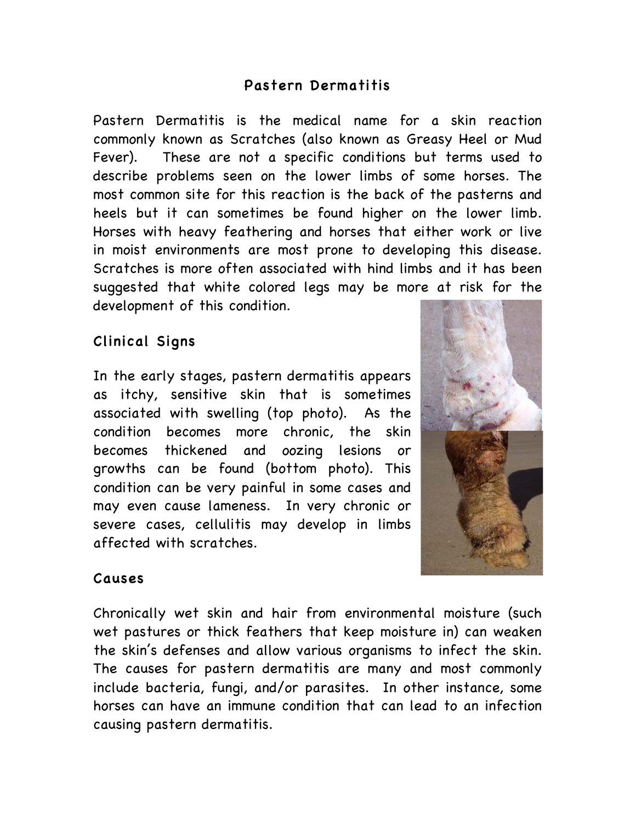# Pastern Dermatitis

Pastern Dermatitis is the medical name for a skin reaction commonly known as Scratches (also known as Greasy Heel or Mud Fever). These are not a specific conditions but terms used to describe problems seen on the lower limbs of some horses. The most common site for this reaction is the back of the pasterns and heels but it can sometimes be found higher on the lower limb. Horses with heavy feathering and horses that either work or live in moist environments are most prone to developing this disease. Scratches is more often associated with hind limbs and it has been suggested that white colored legs may be more at risk for the development of this condition.

# Clinical Signs

In the early stages, pastern dermatitis appears as itchy, sensitive skin that is sometimes associated with swelling (top photo). As the condition becomes more chronic, the skin becomes thickened and oozing lesions or growths can be found (bottom photo). This condition can be very painful in some cases and may even cause lameness. In very chronic or severe cases, cellulitis may develop in limbs affected with scratches.



### Causes

Chronically wet skin and hair from environmental moisture (such wet pastures or thick feathers that keep moisture in) can weaken the skin's defenses and allow various organisms to infect the skin. The causes for pastern dermatitis are many and most commonly include bacteria, fungi, and/or parasites. In other instance, some horses can have an immune condition that can lead to an infection causing pastern dermatitis.